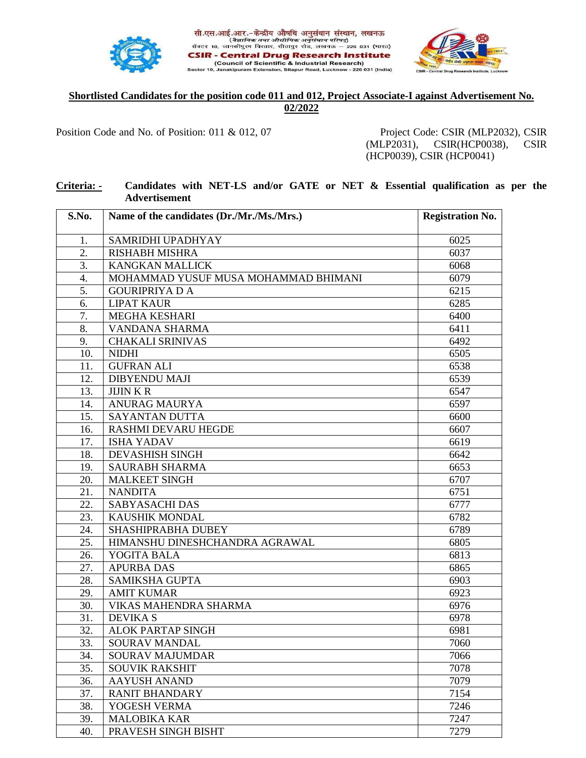



## **Shortlisted Candidates for the position code 011 and 012, Project Associate-I against Advertisement No. 02/2022**

सी.एस.आई.आर.-केन्द्रीय औषधि अनुसंधान संस्थान, लखनऊ ्तार दुसरम्बद्धाः स्थानिकं तथा औद्योगिकं अनुसंधान परिषद्)<br>सेक्टर 10, जानकीपुरम विस्तार, सीतापुर रोड, लखनऊ – 226 031 (मारत) **CSIR - Central Drug Research Institute** (Council of Scientific & Industrial Research) 10, Janakipuram Extension, Sitapur Road, Lucknow - 226 031 (India)

Position Code and No. of Position: 011 & 012, 07 Project Code: CSIR (MLP2032), CSIR

Se

(MLP2031), CSIR(HCP0038), CSIR (HCP0039), CSIR (HCP0041)

## **Criteria: - Candidates with NET-LS and/or GATE or NET & Essential qualification as per the Advertisement**

| S.No. | Name of the candidates (Dr./Mr./Ms./Mrs.) | <b>Registration No.</b> |
|-------|-------------------------------------------|-------------------------|
|       |                                           |                         |
| 1.    | SAMRIDHI UPADHYAY                         | 6025                    |
| 2.    | <b>RISHABH MISHRA</b>                     | 6037                    |
| 3.    | <b>KANGKAN MALLICK</b>                    | 6068                    |
| 4.    | MOHAMMAD YUSUF MUSA MOHAMMAD BHIMANI      | 6079                    |
| 5.    | <b>GOURIPRIYA D A</b>                     | 6215                    |
| 6.    | <b>LIPAT KAUR</b>                         | 6285                    |
| 7.    | <b>MEGHA KESHARI</b>                      | 6400                    |
| 8.    | VANDANA SHARMA                            | 6411                    |
| 9.    | <b>CHAKALI SRINIVAS</b>                   | 6492                    |
| 10.   | <b>NIDHI</b>                              | 6505                    |
| 11.   | <b>GUFRAN ALI</b>                         | 6538                    |
| 12.   | <b>DIBYENDU MAJI</b>                      | 6539                    |
| 13.   | <b>JIJIN KR</b>                           | 6547                    |
| 14.   | <b>ANURAG MAURYA</b>                      | 6597                    |
| 15.   | <b>SAYANTAN DUTTA</b>                     | 6600                    |
| 16.   | <b>RASHMI DEVARU HEGDE</b>                | 6607                    |
| 17.   | <b>ISHA YADAV</b>                         | 6619                    |
| 18.   | <b>DEVASHISH SINGH</b>                    | 6642                    |
| 19.   | <b>SAURABH SHARMA</b>                     | 6653                    |
| 20.   | <b>MALKEET SINGH</b>                      | 6707                    |
| 21.   | <b>NANDITA</b>                            | 6751                    |
| 22.   | <b>SABYASACHI DAS</b>                     | 6777                    |
| 23.   | KAUSHIK MONDAL                            | 6782                    |
| 24.   | SHASHIPRABHA DUBEY                        | 6789                    |
| 25.   | HIMANSHU DINESHCHANDRA AGRAWAL            | 6805                    |
| 26.   | YOGITA BALA                               | 6813                    |
| 27.   | <b>APURBA DAS</b>                         | 6865                    |
| 28.   | <b>SAMIKSHA GUPTA</b>                     | 6903                    |
| 29.   | <b>AMIT KUMAR</b>                         | 6923                    |
| 30.   | VIKAS MAHENDRA SHARMA                     | 6976                    |
| 31.   | <b>DEVIKA S</b>                           | 6978                    |
| 32.   | <b>ALOK PARTAP SINGH</b>                  | 6981                    |
| 33.   | SOURAV MANDAL                             | 7060                    |
| 34.   | <b>SOURAV MAJUMDAR</b>                    | 7066                    |
| 35.   | <b>SOUVIK RAKSHIT</b>                     | 7078                    |
| 36.   | <b>AAYUSH ANAND</b>                       | 7079                    |
| 37.   | <b>RANIT BHANDARY</b>                     | 7154                    |
|       |                                           | 7246                    |
| 38.   | YOGESH VERMA                              |                         |
| 39.   | <b>MALOBIKA KAR</b>                       | 7247                    |
| 40.   | PRAVESH SINGH BISHT                       | 7279                    |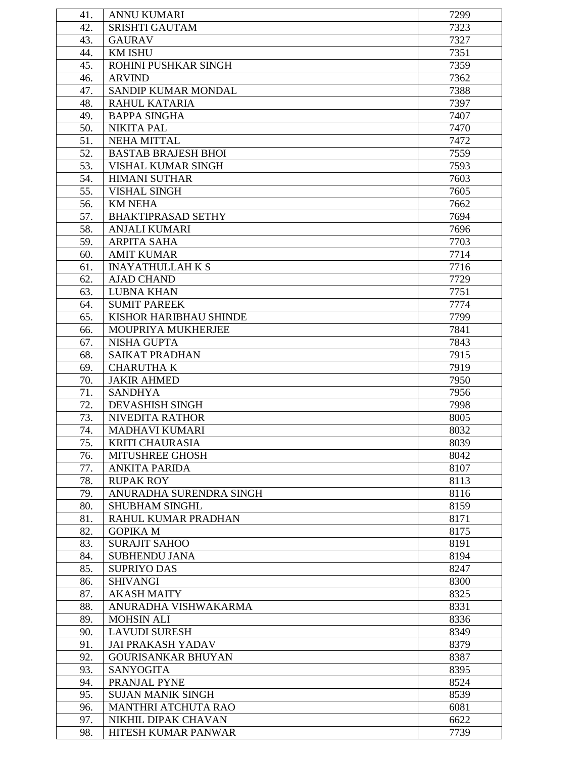| 41.        | <b>ANNU KUMARI</b>                      | 7299         |
|------------|-----------------------------------------|--------------|
| 42.        | <b>SRISHTI GAUTAM</b>                   | 7323         |
| 43.        | <b>GAURAV</b>                           | 7327         |
| 44.        | <b>KM ISHU</b>                          | 7351         |
| 45.        | ROHINI PUSHKAR SINGH                    | 7359         |
| 46.        | <b>ARVIND</b>                           | 7362         |
| 47.        | SANDIP KUMAR MONDAL                     | 7388         |
| 48.        | RAHUL KATARIA                           | 7397         |
| 49.        | <b>BAPPA SINGHA</b>                     | 7407         |
| 50.        | <b>NIKITA PAL</b>                       | 7470         |
| 51.        | <b>NEHA MITTAL</b>                      | 7472         |
| 52.        | <b>BASTAB BRAJESH BHOI</b>              | 7559         |
|            |                                         |              |
| 53.        | VISHAL KUMAR SINGH                      | 7593         |
| 54.        | <b>HIMANI SUTHAR</b>                    | 7603         |
| 55.        | <b>VISHAL SINGH</b>                     | 7605         |
| 56.        | <b>KM NEHA</b>                          | 7662         |
| 57.        | <b>BHAKTIPRASAD SETHY</b>               | 7694         |
| 58.        | <b>ANJALI KUMARI</b>                    | 7696         |
| 59.        | <b>ARPITA SAHA</b>                      | 7703         |
| 60.        | <b>AMIT KUMAR</b>                       | 7714         |
| 61.        | <b>INAYATHULLAH K S</b>                 | 7716         |
| 62.        | <b>AJAD CHAND</b>                       | 7729         |
| 63.        | <b>LUBNA KHAN</b>                       | 7751         |
| 64.        | <b>SUMIT PAREEK</b>                     | 7774         |
| 65.        | KISHOR HARIBHAU SHINDE                  | 7799         |
| 66.        | MOUPRIYA MUKHERJEE                      | 7841         |
| 67.        | <b>NISHA GUPTA</b>                      | 7843         |
| 68.        | <b>SAIKAT PRADHAN</b>                   | 7915         |
| 69.        | <b>CHARUTHA K</b>                       | 7919         |
| 70.        | <b>JAKIR AHMED</b>                      | 7950         |
| 71.        | <b>SANDHYA</b>                          | 7956         |
| 72.        | <b>DEVASHISH SINGH</b>                  | 7998         |
| 73.        | <b>NIVEDITA RATHOR</b>                  | 8005         |
| 74.        | MADHAVI KUMARI                          | 8032         |
| 75.<br>76. | <b>KRITI CHAURASIA</b>                  | 8039         |
|            | <b>MITUSHREE GHOSH</b>                  | 8042         |
| 77.        | <b>ANKITA PARIDA</b>                    | 8107         |
| 78.        | <b>RUPAK ROY</b>                        | 8113         |
| 79.        | ANURADHA SURENDRA SINGH                 | 8116         |
| 80.        | <b>SHUBHAM SINGHL</b>                   | 8159         |
| 81.        | RAHUL KUMAR PRADHAN                     | 8171         |
| 82.<br>83. | <b>GOPIKA M</b><br><b>SURAJIT SAHOO</b> | 8175<br>8191 |
| 84.        | <b>SUBHENDU JANA</b>                    | 8194         |
| 85.        | <b>SUPRIYO DAS</b>                      | 8247         |
| 86.        | <b>SHIVANGI</b>                         | 8300         |
| 87.        | <b>AKASH MAITY</b>                      | 8325         |
| 88.        | ANURADHA VISHWAKARMA                    | 8331         |
| 89.        | <b>MOHSIN ALI</b>                       | 8336         |
| 90.        | <b>LAVUDI SURESH</b>                    | 8349         |
| 91.        | <b>JAI PRAKASH YADAV</b>                | 8379         |
| 92.        | <b>GOURISANKAR BHUYAN</b>               | 8387         |
| 93.        | <b>SANYOGITA</b>                        | 8395         |
| 94.        | PRANJAL PYNE                            | 8524         |
| 95.        | <b>SUJAN MANIK SINGH</b>                | 8539         |
| 96.        | MANTHRI ATCHUTA RAO                     | 6081         |
| 97.        | NIKHIL DIPAK CHAVAN                     | 6622         |
| 98.        | HITESH KUMAR PANWAR                     | 7739         |
|            |                                         |              |